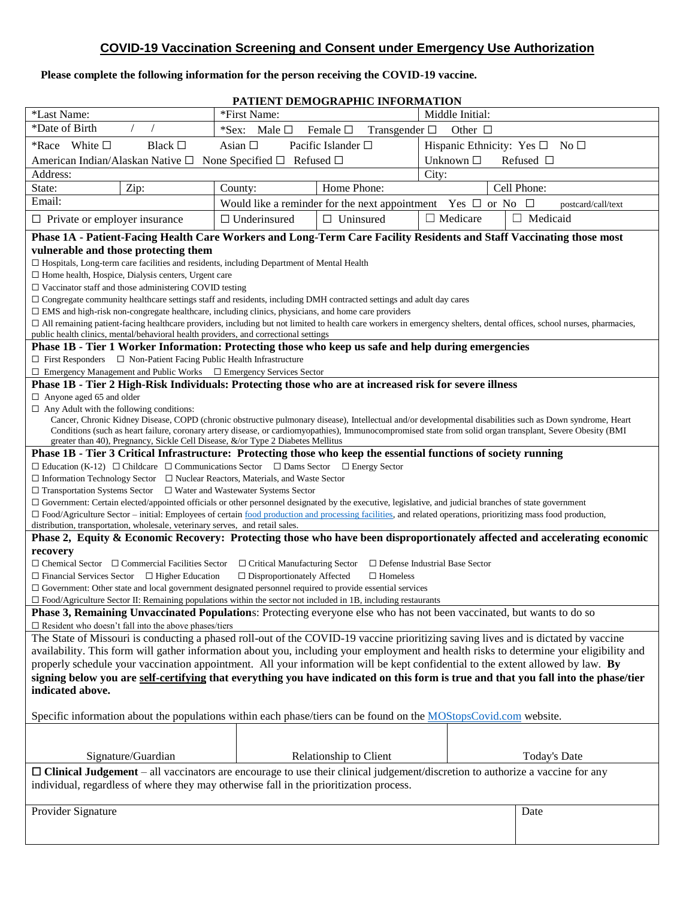## **COVID-19 Vaccination Screening and Consent under Emergency Use Authorization**

**Please complete the following information for the person receiving the COVID-19 vaccine.**

|                                                                                                                                                                                                                                                                               | PATIENT DEMOGRAPHIC INFORMATION                                                                                                                                         |                                       |                              |  |  |  |
|-------------------------------------------------------------------------------------------------------------------------------------------------------------------------------------------------------------------------------------------------------------------------------|-------------------------------------------------------------------------------------------------------------------------------------------------------------------------|---------------------------------------|------------------------------|--|--|--|
| *Last Name:                                                                                                                                                                                                                                                                   | *First Name:                                                                                                                                                            | Middle Initial:                       |                              |  |  |  |
| *Date of Birth                                                                                                                                                                                                                                                                | Male $\Box$<br>*Sex:<br>Female $\square$<br>Transgender $\square$                                                                                                       | Other $\Box$                          |                              |  |  |  |
| *Race White □<br>Black $\Box$                                                                                                                                                                                                                                                 | Asian $\square$<br>Pacific Islander □                                                                                                                                   | Hispanic Ethnicity: Yes $\Box$        | No <sub>1</sub>              |  |  |  |
| American Indian/Alaskan Native □                                                                                                                                                                                                                                              | None Specified $\square$ Refused $\square$                                                                                                                              | Unknown $\square$                     | Refused $\Box$               |  |  |  |
| Address:                                                                                                                                                                                                                                                                      |                                                                                                                                                                         | City:                                 |                              |  |  |  |
| State:<br>Zip:                                                                                                                                                                                                                                                                | Home Phone:<br>County:                                                                                                                                                  |                                       | Cell Phone:                  |  |  |  |
| Email:                                                                                                                                                                                                                                                                        |                                                                                                                                                                         |                                       |                              |  |  |  |
|                                                                                                                                                                                                                                                                               | Would like a reminder for the next appointment                                                                                                                          | Yes $\Box$ or No                      | $\Box$<br>postcard/call/text |  |  |  |
| $\Box$ Private or employer insurance                                                                                                                                                                                                                                          | $\Box$ Underinsured<br>$\Box$ Uninsured                                                                                                                                 | $\Box$ Medicare                       | $\Box$ Medicaid              |  |  |  |
| Phase 1A - Patient-Facing Health Care Workers and Long-Term Care Facility Residents and Staff Vaccinating those most<br>vulnerable and those protecting them                                                                                                                  |                                                                                                                                                                         |                                       |                              |  |  |  |
| $\Box$ Hospitals, Long-term care facilities and residents, including Department of Mental Health                                                                                                                                                                              |                                                                                                                                                                         |                                       |                              |  |  |  |
| □ Home health, Hospice, Dialysis centers, Urgent care                                                                                                                                                                                                                         |                                                                                                                                                                         |                                       |                              |  |  |  |
| $\square$ Vaccinator staff and those administering COVID testing                                                                                                                                                                                                              |                                                                                                                                                                         |                                       |                              |  |  |  |
|                                                                                                                                                                                                                                                                               | $\Box$ Congregate community healthcare settings staff and residents, including DMH contracted settings and adult day cares                                              |                                       |                              |  |  |  |
| $\square$ EMS and high-risk non-congregate healthcare, including clinics, physicians, and home care providers                                                                                                                                                                 |                                                                                                                                                                         |                                       |                              |  |  |  |
| public health clinics, mental/behavioral health providers, and correctional settings                                                                                                                                                                                          | □ All remaining patient-facing healthcare providers, including but not limited to health care workers in emergency shelters, dental offices, school nurses, pharmacies, |                                       |                              |  |  |  |
|                                                                                                                                                                                                                                                                               | Phase 1B - Tier 1 Worker Information: Protecting those who keep us safe and help during emergencies                                                                     |                                       |                              |  |  |  |
| $\Box$ First Responders $\Box$ Non-Patient Facing Public Health Infrastructure                                                                                                                                                                                                |                                                                                                                                                                         |                                       |                              |  |  |  |
| $\Box$ Emergency Management and Public Works $\Box$ Emergency Services Sector                                                                                                                                                                                                 |                                                                                                                                                                         |                                       |                              |  |  |  |
|                                                                                                                                                                                                                                                                               | Phase 1B - Tier 2 High-Risk Individuals: Protecting those who are at increased risk for severe illness                                                                  |                                       |                              |  |  |  |
| $\Box$ Anyone aged 65 and older                                                                                                                                                                                                                                               |                                                                                                                                                                         |                                       |                              |  |  |  |
| $\Box$ Any Adult with the following conditions:                                                                                                                                                                                                                               |                                                                                                                                                                         |                                       |                              |  |  |  |
|                                                                                                                                                                                                                                                                               | Cancer, Chronic Kidney Disease, COPD (chronic obstructive pulmonary disease), Intellectual and/or developmental disabilities such as Down syndrome, Heart               |                                       |                              |  |  |  |
| greater than 40), Pregnancy, Sickle Cell Disease, &/or Type 2 Diabetes Mellitus                                                                                                                                                                                               | Conditions (such as heart failure, coronary artery disease, or cardiomyopathies), Immunocompromised state from solid organ transplant, Severe Obesity (BMI              |                                       |                              |  |  |  |
|                                                                                                                                                                                                                                                                               | Phase 1B - Tier 3 Critical Infrastructure: Protecting those who keep the essential functions of society running                                                         |                                       |                              |  |  |  |
| $\Box$ Education (K-12) $\Box$ Childcare $\Box$ Communications Sector $\Box$ Dams Sector $\Box$ Energy Sector                                                                                                                                                                 |                                                                                                                                                                         |                                       |                              |  |  |  |
| $\Box$ Information Technology Sector $\Box$ Nuclear Reactors, Materials, and Waste Sector                                                                                                                                                                                     |                                                                                                                                                                         |                                       |                              |  |  |  |
| $\Box$ Transportation Systems Sector $\Box$ Water and Wastewater Systems Sector                                                                                                                                                                                               |                                                                                                                                                                         |                                       |                              |  |  |  |
|                                                                                                                                                                                                                                                                               | □ Government: Certain elected/appointed officials or other personnel designated by the executive, legislative, and judicial branches of state government                |                                       |                              |  |  |  |
|                                                                                                                                                                                                                                                                               | □ Food/Agriculture Sector – initial: Employees of certain food production and processing facilities, and related operations, prioritizing mass food production,         |                                       |                              |  |  |  |
| distribution, transportation, wholesale, veterinary serves, and retail sales.                                                                                                                                                                                                 |                                                                                                                                                                         |                                       |                              |  |  |  |
|                                                                                                                                                                                                                                                                               | Phase 2, Equity & Economic Recovery: Protecting those who have been disproportionately affected and accelerating economic                                               |                                       |                              |  |  |  |
| recovery                                                                                                                                                                                                                                                                      |                                                                                                                                                                         |                                       |                              |  |  |  |
| $\Box$ Chemical Sector $\Box$ Commercial Facilities Sector<br>$\Box$ Financial Services Sector $\quad \Box$ Higher Education                                                                                                                                                  | $\Box$ Critical Manufacturing Sector<br>$\Box$ Disproportionately Affected<br>$\Box$ Homeless                                                                           | $\Box$ Defense Industrial Base Sector |                              |  |  |  |
|                                                                                                                                                                                                                                                                               | $\Box$ Government: Other state and local government designated personnel required to provide essential services                                                         |                                       |                              |  |  |  |
|                                                                                                                                                                                                                                                                               | $\Box$ Food/Agriculture Sector II: Remaining populations within the sector not included in 1B, including restaurants                                                    |                                       |                              |  |  |  |
|                                                                                                                                                                                                                                                                               | Phase 3, Remaining Unvaccinated Populations: Protecting everyone else who has not been vaccinated, but wants to do so                                                   |                                       |                              |  |  |  |
| $\square$ Resident who doesn't fall into the above phases/tiers                                                                                                                                                                                                               |                                                                                                                                                                         |                                       |                              |  |  |  |
|                                                                                                                                                                                                                                                                               |                                                                                                                                                                         |                                       |                              |  |  |  |
| The State of Missouri is conducting a phased roll-out of the COVID-19 vaccine prioritizing saving lives and is dictated by vaccine<br>availability. This form will gather information about you, including your employment and health risks to determine your eligibility and |                                                                                                                                                                         |                                       |                              |  |  |  |
| properly schedule your vaccination appointment. All your information will be kept confidential to the extent allowed by law. By                                                                                                                                               |                                                                                                                                                                         |                                       |                              |  |  |  |
| signing below you are self-certifying that everything you have indicated on this form is true and that you fall into the phase/tier                                                                                                                                           |                                                                                                                                                                         |                                       |                              |  |  |  |
| indicated above.                                                                                                                                                                                                                                                              |                                                                                                                                                                         |                                       |                              |  |  |  |
|                                                                                                                                                                                                                                                                               |                                                                                                                                                                         |                                       |                              |  |  |  |
| Specific information about the populations within each phase/tiers can be found on the MOStopsCovid.com website.                                                                                                                                                              |                                                                                                                                                                         |                                       |                              |  |  |  |
|                                                                                                                                                                                                                                                                               |                                                                                                                                                                         |                                       |                              |  |  |  |
|                                                                                                                                                                                                                                                                               |                                                                                                                                                                         |                                       |                              |  |  |  |
| Signature/Guardian                                                                                                                                                                                                                                                            | Relationship to Client                                                                                                                                                  |                                       | <b>Today's Date</b>          |  |  |  |
| $\Box$ Clinical Judgement – all vaccinators are encourage to use their clinical judgement/discretion to authorize a vaccine for any                                                                                                                                           |                                                                                                                                                                         |                                       |                              |  |  |  |
| individual, regardless of where they may otherwise fall in the prioritization process.                                                                                                                                                                                        |                                                                                                                                                                         |                                       |                              |  |  |  |
|                                                                                                                                                                                                                                                                               |                                                                                                                                                                         |                                       |                              |  |  |  |
| Provider Signature                                                                                                                                                                                                                                                            |                                                                                                                                                                         |                                       | Date                         |  |  |  |
|                                                                                                                                                                                                                                                                               |                                                                                                                                                                         |                                       |                              |  |  |  |
|                                                                                                                                                                                                                                                                               |                                                                                                                                                                         |                                       |                              |  |  |  |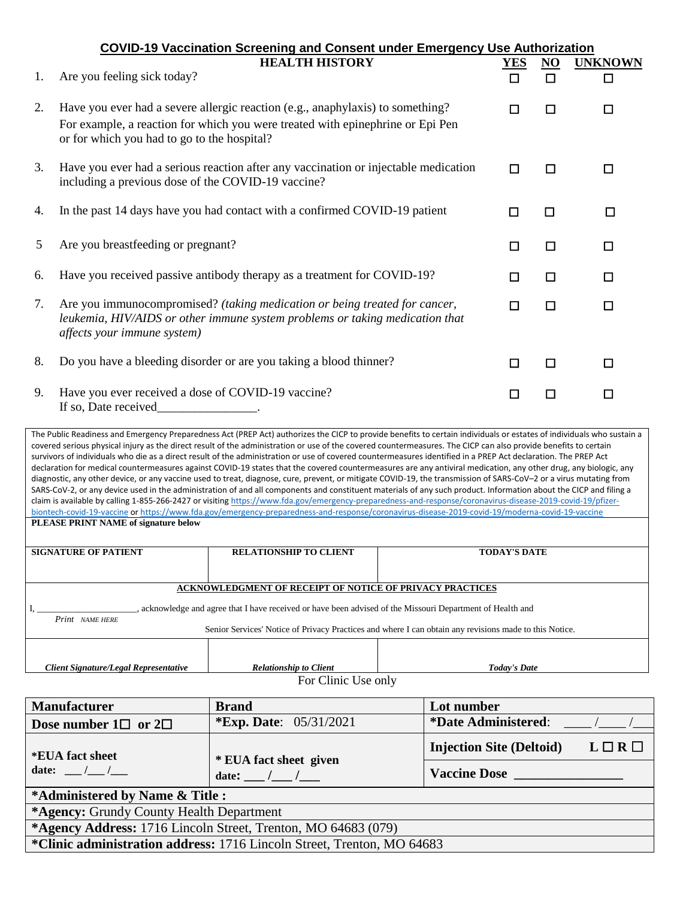|    | <b>COVID-19 Vaccination Screening and Consent under Emergency Use Authorization</b>                                                                                                                             |            |                           |                |  |  |
|----|-----------------------------------------------------------------------------------------------------------------------------------------------------------------------------------------------------------------|------------|---------------------------|----------------|--|--|
|    | <b>HEALTH HISTORY</b>                                                                                                                                                                                           | <b>YES</b> | $\underline{\mathbf{NO}}$ | <b>UNKNOWN</b> |  |  |
| 1. | Are you feeling sick today?                                                                                                                                                                                     | п          | П                         |                |  |  |
| 2. | Have you ever had a severe allergic reaction (e.g., anaphylaxis) to something?<br>For example, a reaction for which you were treated with epinephrine or Epi Pen<br>or for which you had to go to the hospital? | п          | □                         |                |  |  |
| 3. | Have you ever had a serious reaction after any vaccination or injectable medication<br>including a previous dose of the COVID-19 vaccine?                                                                       | п          | П                         |                |  |  |
| 4. | In the past 14 days have you had contact with a confirmed COVID-19 patient                                                                                                                                      | П          | □                         | П              |  |  |
| 5  | Are you breastfeeding or pregnant?                                                                                                                                                                              | П          | □                         |                |  |  |
| 6. | Have you received passive antibody therapy as a treatment for COVID-19?                                                                                                                                         | п          | $\Box$                    |                |  |  |
| 7. | Are you immunocompromised? (taking medication or being treated for cancer,<br>leukemia, HIV/AIDS or other immune system problems or taking medication that<br>affects your immune system)                       | □          | □                         |                |  |  |
| 8. | Do you have a bleeding disorder or are you taking a blood thinner?                                                                                                                                              | п          | □                         |                |  |  |
| 9. | Have you ever received a dose of COVID-19 vaccine?<br>If so, Date received                                                                                                                                      | □          | □                         |                |  |  |

The Public Readiness and Emergency Preparedness Act (PREP Act) authorizes the CICP to provide benefits to certain individuals or estates of individuals who sustain a covered serious physical injury as the direct result of the administration or use of the covered countermeasures. The CICP can also provide benefits to certain survivors of individuals who die as a direct result of the administration or use of covered countermeasures identified in a PREP Act declaration. The PREP Act declaration for medical countermeasures against COVID-19 states that the covered countermeasures are any antiviral medication, any other drug, any biologic, any diagnostic, any other device, or any vaccine used to treat, diagnose, cure, prevent, or mitigate COVID-19, the transmission of SARS-CoV-2 or a virus mutating from SARS-CoV-2, or any device used in the administration of and all components and constituent materials of any such product. Information about the CICP and filing a claim is available by calling 1-855-266-2427 or visitin[g https://www.fda.gov/emergency-preparedness-and-response/coronavirus-disease-2019-covid-19/pfizer](https://www.fda.gov/emergency-preparedness-and-response/coronavirus-disease-2019-covid-19/pfizer-biontech-covid-19-vaccine)[biontech-covid-19-vaccine](https://www.fda.gov/emergency-preparedness-and-response/coronavirus-disease-2019-covid-19/pfizer-biontech-covid-19-vaccine) or<https://www.fda.gov/emergency-preparedness-and-response/coronavirus-disease-2019-covid-19/moderna-covid-19-vaccine> **PLEASE PRINT NAME of signature below**

| <b>SIGNATURE OF PATIENT</b>                                                                            | <b>RELATIONSHIP TO CLIENT</b>                                                                            | <b>TODAY'S DATE</b> |  |  |  |
|--------------------------------------------------------------------------------------------------------|----------------------------------------------------------------------------------------------------------|---------------------|--|--|--|
|                                                                                                        |                                                                                                          |                     |  |  |  |
|                                                                                                        |                                                                                                          |                     |  |  |  |
|                                                                                                        |                                                                                                          |                     |  |  |  |
|                                                                                                        |                                                                                                          |                     |  |  |  |
| <b>ACKNOWLEDGMENT OF RECEIPT OF NOTICE OF PRIVACY PRACTICES</b>                                        |                                                                                                          |                     |  |  |  |
|                                                                                                        |                                                                                                          |                     |  |  |  |
|                                                                                                        |                                                                                                          |                     |  |  |  |
|                                                                                                        | acknowledge and agree that I have received or have been advised of the Missouri Department of Health and |                     |  |  |  |
| Print NAME HERE                                                                                        |                                                                                                          |                     |  |  |  |
|                                                                                                        |                                                                                                          |                     |  |  |  |
| Senior Services' Notice of Privacy Practices and where I can obtain any revisions made to this Notice. |                                                                                                          |                     |  |  |  |
|                                                                                                        |                                                                                                          |                     |  |  |  |
|                                                                                                        |                                                                                                          |                     |  |  |  |
|                                                                                                        |                                                                                                          |                     |  |  |  |
|                                                                                                        |                                                                                                          |                     |  |  |  |
| Client Signature/Legal Representative                                                                  | <b>Relationship to Client</b>                                                                            | <b>Today's Date</b> |  |  |  |

For Clinic Use only

| <b>Manufacturer</b>                                                    | <b>Brand</b>             | Lot number                                               |  |  |  |  |
|------------------------------------------------------------------------|--------------------------|----------------------------------------------------------|--|--|--|--|
| Dose number $1\square$ or $2\square$                                   | *Exp. Date: $05/31/2021$ | *Date Administered:                                      |  |  |  |  |
| *EUA fact sheet                                                        | * EUA fact sheet given   | $L \square R \square$<br><b>Injection Site (Deltoid)</b> |  |  |  |  |
| date: $\frac{1}{2}$ / $\frac{1}{2}$                                    | date: $/$ /              | <b>Vaccine Dose</b>                                      |  |  |  |  |
| *Administered by Name & Title :                                        |                          |                                                          |  |  |  |  |
| *Agency: Grundy County Health Department                               |                          |                                                          |  |  |  |  |
| *Agency Address: 1716 Lincoln Street, Trenton, MO 64683 (079)          |                          |                                                          |  |  |  |  |
| *Clinic administration address: 1716 Lincoln Street, Trenton, MO 64683 |                          |                                                          |  |  |  |  |